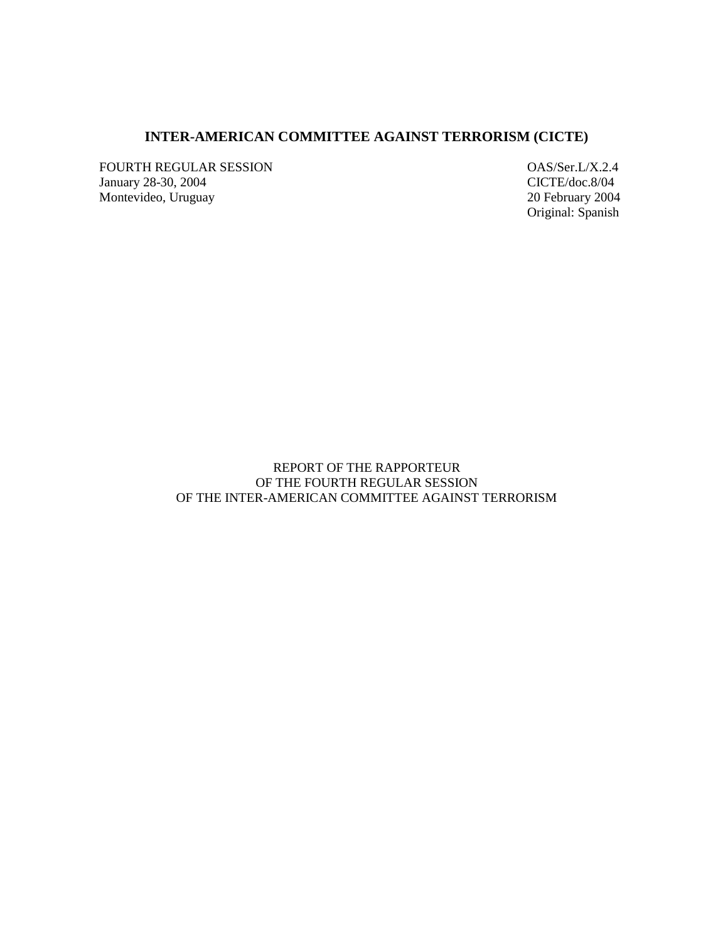# **INTER-AMERICAN COMMITTEE AGAINST TERRORISM (CICTE)**

FOURTH REGULAR SESSION<br>
January 28-30, 2004<br>
CICTE/doc.8/04 January 28-30, 2004<br>
Montevideo, Uruguay 2004<br>
20 February 2004 Montevideo, Uruguay

Original: Spanish

REPORT OF THE RAPPORTEUR OF THE FOURTH REGULAR SESSION OF THE INTER-AMERICAN COMMITTEE AGAINST TERRORISM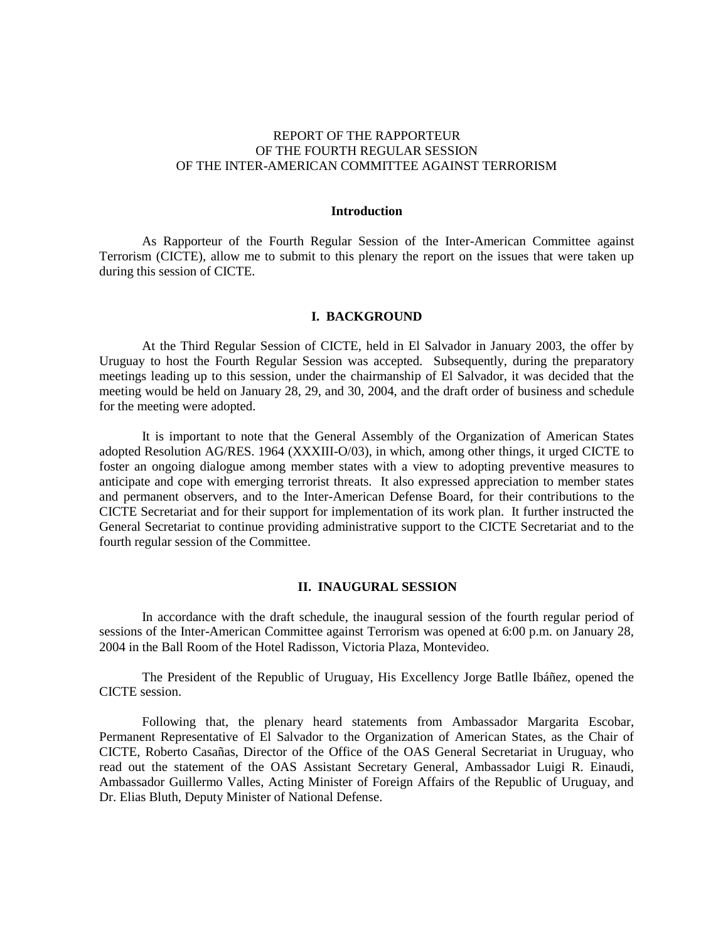# REPORT OF THE RAPPORTEUR OF THE FOURTH REGULAR SESSION OF THE INTER-AMERICAN COMMITTEE AGAINST TERRORISM

## **Introduction**

As Rapporteur of the Fourth Regular Session of the Inter-American Committee against Terrorism (CICTE), allow me to submit to this plenary the report on the issues that were taken up during this session of CICTE.

#### **I. BACKGROUND**

At the Third Regular Session of CICTE, held in El Salvador in January 2003, the offer by Uruguay to host the Fourth Regular Session was accepted. Subsequently, during the preparatory meetings leading up to this session, under the chairmanship of El Salvador, it was decided that the meeting would be held on January 28, 29, and 30, 2004, and the draft order of business and schedule for the meeting were adopted.

It is important to note that the General Assembly of the Organization of American States adopted Resolution AG/RES. 1964 (XXXIII-O/03), in which, among other things, it urged CICTE to foster an ongoing dialogue among member states with a view to adopting preventive measures to anticipate and cope with emerging terrorist threats. It also expressed appreciation to member states and permanent observers, and to the Inter-American Defense Board, for their contributions to the CICTE Secretariat and for their support for implementation of its work plan. It further instructed the General Secretariat to continue providing administrative support to the CICTE Secretariat and to the fourth regular session of the Committee.

# **II. INAUGURAL SESSION**

In accordance with the draft schedule, the inaugural session of the fourth regular period of sessions of the Inter-American Committee against Terrorism was opened at 6:00 p.m. on January 28, 2004 in the Ball Room of the Hotel Radisson, Victoria Plaza, Montevideo.

The President of the Republic of Uruguay, His Excellency Jorge Batlle Ibáñez, opened the CICTE session.

Following that, the plenary heard statements from Ambassador Margarita Escobar, Permanent Representative of El Salvador to the Organization of American States, as the Chair of CICTE, Roberto Casañas, Director of the Office of the OAS General Secretariat in Uruguay, who read out the statement of the OAS Assistant Secretary General, Ambassador Luigi R. Einaudi, Ambassador Guillermo Valles, Acting Minister of Foreign Affairs of the Republic of Uruguay, and Dr. Elias Bluth, Deputy Minister of National Defense.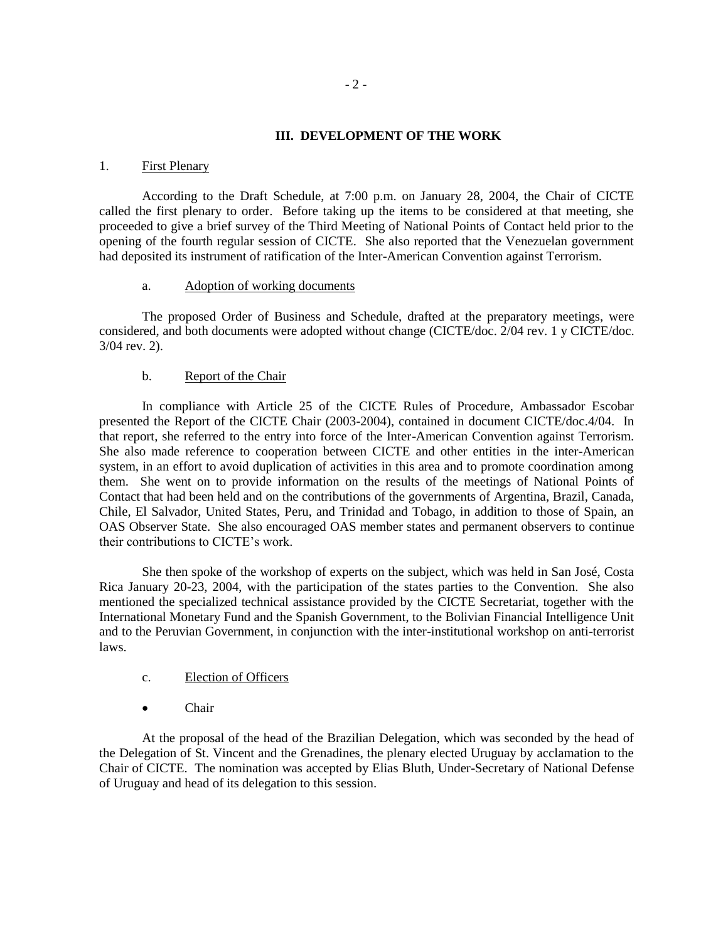# **III. DEVELOPMENT OF THE WORK**

## 1. First Plenary

According to the Draft Schedule, at 7:00 p.m. on January 28, 2004, the Chair of CICTE called the first plenary to order. Before taking up the items to be considered at that meeting, she proceeded to give a brief survey of the Third Meeting of National Points of Contact held prior to the opening of the fourth regular session of CICTE. She also reported that the Venezuelan government had deposited its instrument of ratification of the Inter-American Convention against Terrorism.

#### a. Adoption of working documents

The proposed Order of Business and Schedule, drafted at the preparatory meetings, were considered, and both documents were adopted without change (CICTE/doc. 2/04 rev. 1 y CICTE/doc. 3/04 rev. 2).

#### b. Report of the Chair

In compliance with Article 25 of the CICTE Rules of Procedure, Ambassador Escobar presented the Report of the CICTE Chair (2003-2004), contained in document CICTE/doc.4/04. In that report, she referred to the entry into force of the Inter-American Convention against Terrorism. She also made reference to cooperation between CICTE and other entities in the inter-American system, in an effort to avoid duplication of activities in this area and to promote coordination among them. She went on to provide information on the results of the meetings of National Points of Contact that had been held and on the contributions of the governments of Argentina, Brazil, Canada, Chile, El Salvador, United States, Peru, and Trinidad and Tobago, in addition to those of Spain, an OAS Observer State. She also encouraged OAS member states and permanent observers to continue their contributions to CICTE's work.

She then spoke of the workshop of experts on the subject, which was held in San José, Costa Rica January 20-23, 2004, with the participation of the states parties to the Convention. She also mentioned the specialized technical assistance provided by the CICTE Secretariat, together with the International Monetary Fund and the Spanish Government, to the Bolivian Financial Intelligence Unit and to the Peruvian Government, in conjunction with the inter-institutional workshop on anti-terrorist laws.

- c. Election of Officers
- Chair

At the proposal of the head of the Brazilian Delegation, which was seconded by the head of the Delegation of St. Vincent and the Grenadines, the plenary elected Uruguay by acclamation to the Chair of CICTE. The nomination was accepted by Elias Bluth, Under-Secretary of National Defense of Uruguay and head of its delegation to this session.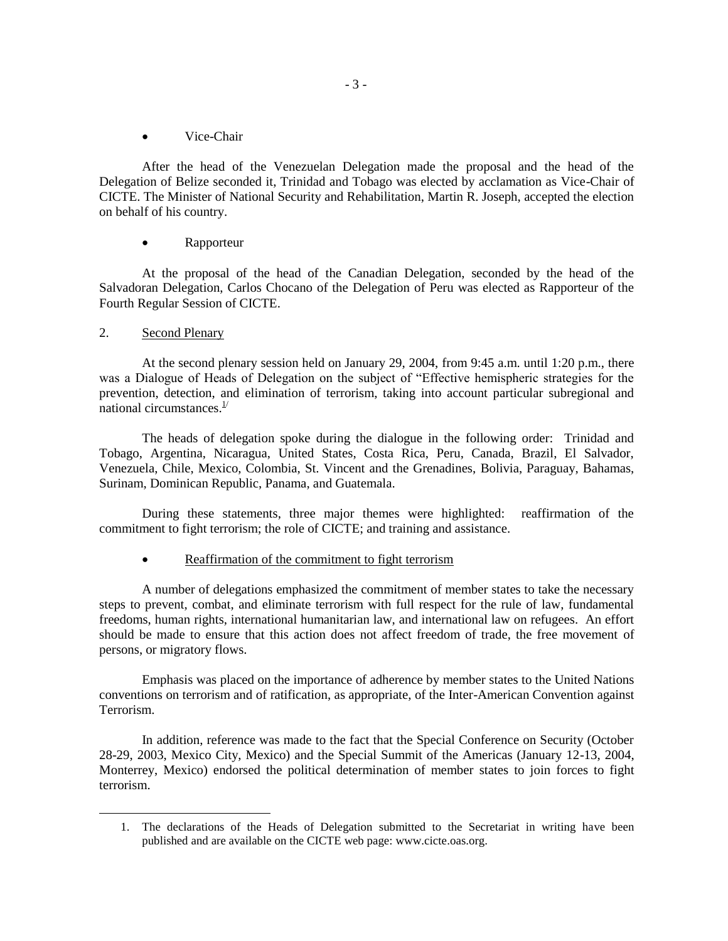• Vice-Chair

After the head of the Venezuelan Delegation made the proposal and the head of the Delegation of Belize seconded it, Trinidad and Tobago was elected by acclamation as Vice-Chair of CICTE. The Minister of National Security and Rehabilitation, Martin R. Joseph, accepted the election on behalf of his country.

Rapporteur

At the proposal of the head of the Canadian Delegation, seconded by the head of the Salvadoran Delegation, Carlos Chocano of the Delegation of Peru was elected as Rapporteur of the Fourth Regular Session of CICTE.

#### 2. Second Plenary

 $\overline{a}$ 

At the second plenary session held on January 29, 2004, from 9:45 a.m. until 1:20 p.m., there was a Dialogue of Heads of Delegation on the subject of "Effective hemispheric strategies for the prevention, detection, and elimination of terrorism, taking into account particular subregional and national circumstances. $\frac{1}{1}$ 

The heads of delegation spoke during the dialogue in the following order: Trinidad and Tobago, Argentina, Nicaragua, United States, Costa Rica, Peru, Canada, Brazil, El Salvador, Venezuela, Chile, Mexico, Colombia, St. Vincent and the Grenadines, Bolivia, Paraguay, Bahamas, Surinam, Dominican Republic, Panama, and Guatemala.

During these statements, three major themes were highlighted: reaffirmation of the commitment to fight terrorism; the role of CICTE; and training and assistance.

#### • Reaffirmation of the commitment to fight terrorism

A number of delegations emphasized the commitment of member states to take the necessary steps to prevent, combat, and eliminate terrorism with full respect for the rule of law, fundamental freedoms, human rights, international humanitarian law, and international law on refugees. An effort should be made to ensure that this action does not affect freedom of trade, the free movement of persons, or migratory flows.

Emphasis was placed on the importance of adherence by member states to the United Nations conventions on terrorism and of ratification, as appropriate, of the Inter-American Convention against Terrorism.

In addition, reference was made to the fact that the Special Conference on Security (October 28-29, 2003, Mexico City, Mexico) and the Special Summit of the Americas (January 12-13, 2004, Monterrey, Mexico) endorsed the political determination of member states to join forces to fight terrorism.

<sup>1.</sup> The declarations of the Heads of Delegation submitted to the Secretariat in writing have been published and are available on the CICTE web page: www.cicte.oas.org.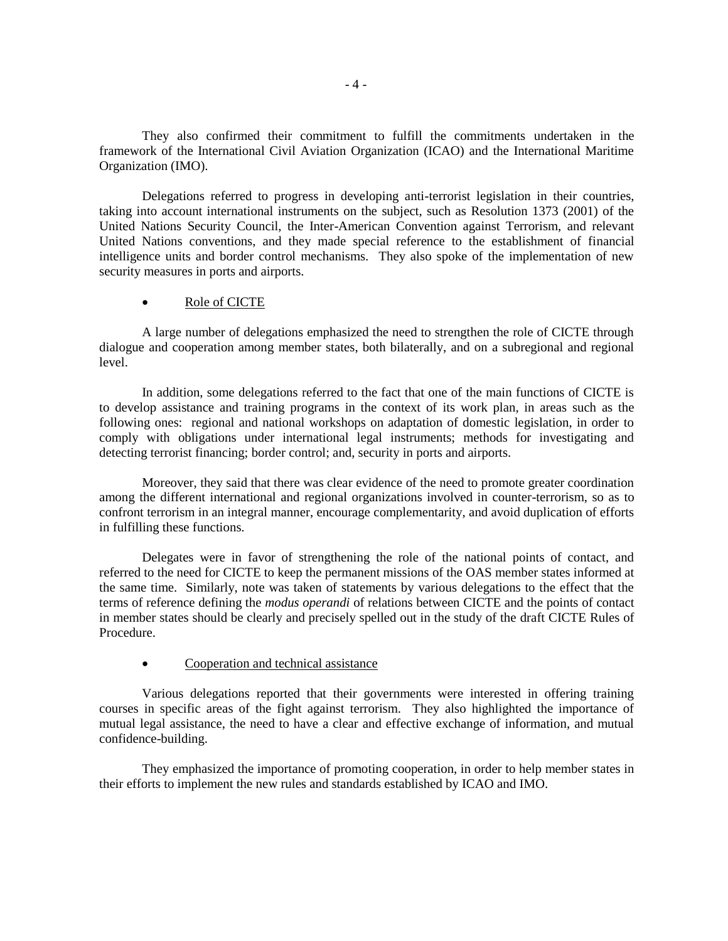They also confirmed their commitment to fulfill the commitments undertaken in the framework of the International Civil Aviation Organization (ICAO) and the International Maritime Organization (IMO).

Delegations referred to progress in developing anti-terrorist legislation in their countries, taking into account international instruments on the subject, such as Resolution 1373 (2001) of the United Nations Security Council, the Inter-American Convention against Terrorism, and relevant United Nations conventions, and they made special reference to the establishment of financial intelligence units and border control mechanisms. They also spoke of the implementation of new security measures in ports and airports.

# • Role of CICTE

A large number of delegations emphasized the need to strengthen the role of CICTE through dialogue and cooperation among member states, both bilaterally, and on a subregional and regional level.

In addition, some delegations referred to the fact that one of the main functions of CICTE is to develop assistance and training programs in the context of its work plan, in areas such as the following ones: regional and national workshops on adaptation of domestic legislation, in order to comply with obligations under international legal instruments; methods for investigating and detecting terrorist financing; border control; and, security in ports and airports.

Moreover, they said that there was clear evidence of the need to promote greater coordination among the different international and regional organizations involved in counter-terrorism, so as to confront terrorism in an integral manner, encourage complementarity, and avoid duplication of efforts in fulfilling these functions.

Delegates were in favor of strengthening the role of the national points of contact, and referred to the need for CICTE to keep the permanent missions of the OAS member states informed at the same time. Similarly, note was taken of statements by various delegations to the effect that the terms of reference defining the *modus operandi* of relations between CICTE and the points of contact in member states should be clearly and precisely spelled out in the study of the draft CICTE Rules of Procedure.

#### • Cooperation and technical assistance

Various delegations reported that their governments were interested in offering training courses in specific areas of the fight against terrorism. They also highlighted the importance of mutual legal assistance, the need to have a clear and effective exchange of information, and mutual confidence-building.

They emphasized the importance of promoting cooperation, in order to help member states in their efforts to implement the new rules and standards established by ICAO and IMO.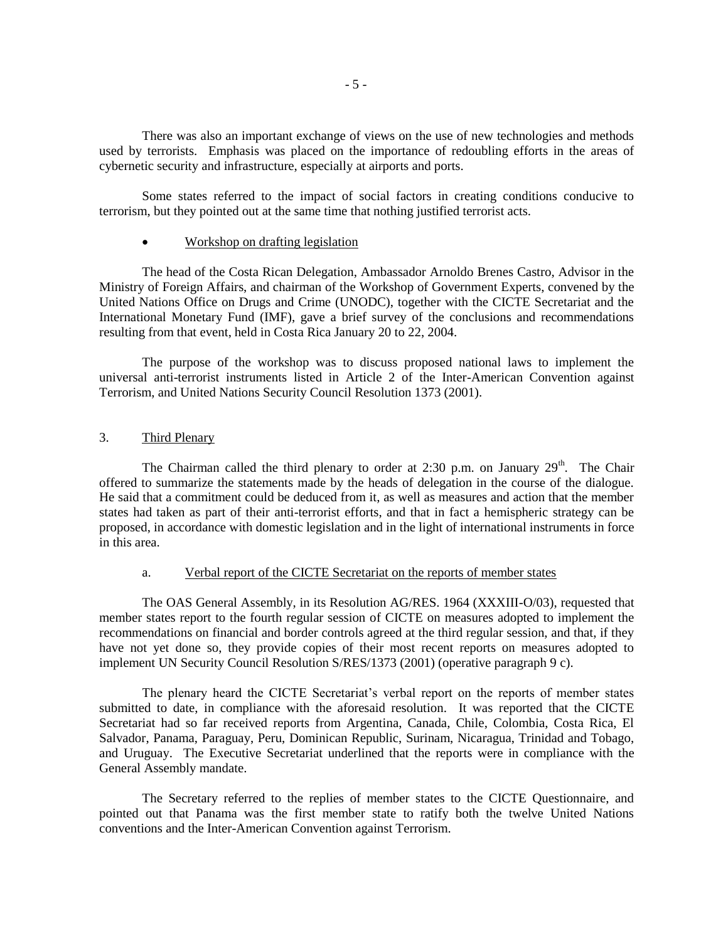There was also an important exchange of views on the use of new technologies and methods used by terrorists. Emphasis was placed on the importance of redoubling efforts in the areas of cybernetic security and infrastructure, especially at airports and ports.

Some states referred to the impact of social factors in creating conditions conducive to terrorism, but they pointed out at the same time that nothing justified terrorist acts.

#### Workshop on drafting legislation

The head of the Costa Rican Delegation, Ambassador Arnoldo Brenes Castro, Advisor in the Ministry of Foreign Affairs, and chairman of the Workshop of Government Experts, convened by the United Nations Office on Drugs and Crime (UNODC), together with the CICTE Secretariat and the International Monetary Fund (IMF), gave a brief survey of the conclusions and recommendations resulting from that event, held in Costa Rica January 20 to 22, 2004.

The purpose of the workshop was to discuss proposed national laws to implement the universal anti-terrorist instruments listed in Article 2 of the Inter-American Convention against Terrorism, and United Nations Security Council Resolution 1373 (2001).

# 3. Third Plenary

The Chairman called the third plenary to order at 2:30 p.m. on January  $29<sup>th</sup>$ . The Chair offered to summarize the statements made by the heads of delegation in the course of the dialogue. He said that a commitment could be deduced from it, as well as measures and action that the member states had taken as part of their anti-terrorist efforts, and that in fact a hemispheric strategy can be proposed, in accordance with domestic legislation and in the light of international instruments in force in this area.

#### a. Verbal report of the CICTE Secretariat on the reports of member states

The OAS General Assembly, in its Resolution AG/RES. 1964 (XXXIII-O/03), requested that member states report to the fourth regular session of CICTE on measures adopted to implement the recommendations on financial and border controls agreed at the third regular session, and that, if they have not yet done so, they provide copies of their most recent reports on measures adopted to implement UN Security Council Resolution S/RES/1373 (2001) (operative paragraph 9 c).

The plenary heard the CICTE Secretariat's verbal report on the reports of member states submitted to date, in compliance with the aforesaid resolution. It was reported that the CICTE Secretariat had so far received reports from Argentina, Canada, Chile, Colombia, Costa Rica, El Salvador, Panama, Paraguay, Peru, Dominican Republic, Surinam, Nicaragua, Trinidad and Tobago, and Uruguay. The Executive Secretariat underlined that the reports were in compliance with the General Assembly mandate.

The Secretary referred to the replies of member states to the CICTE Questionnaire, and pointed out that Panama was the first member state to ratify both the twelve United Nations conventions and the Inter-American Convention against Terrorism.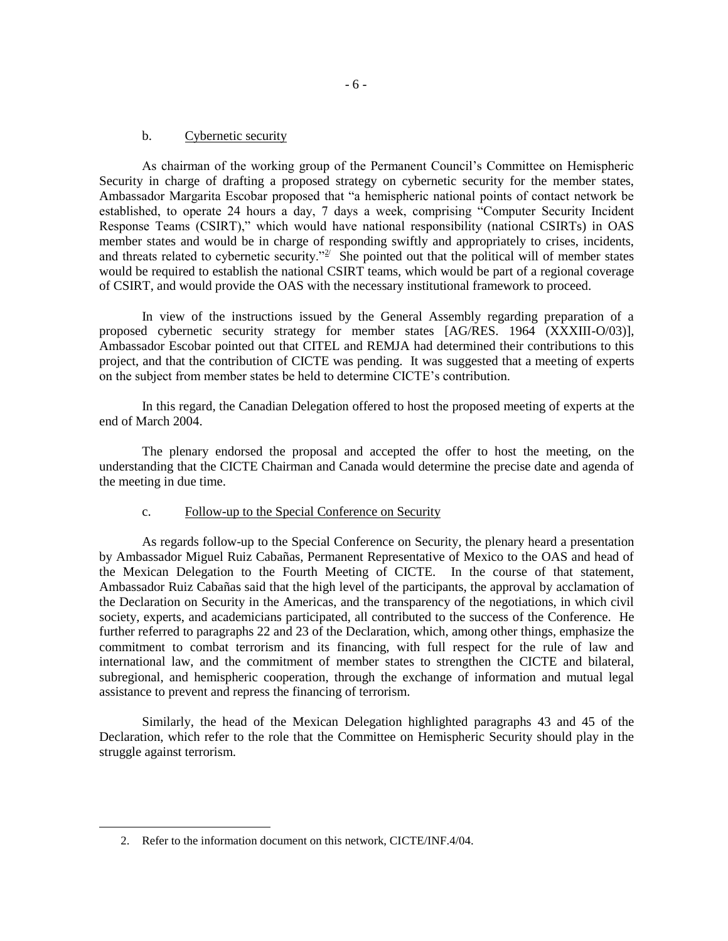#### b. Cybernetic security

As chairman of the working group of the Permanent Council's Committee on Hemispheric Security in charge of drafting a proposed strategy on cybernetic security for the member states, Ambassador Margarita Escobar proposed that "a hemispheric national points of contact network be established, to operate 24 hours a day, 7 days a week, comprising "Computer Security Incident Response Teams (CSIRT)," which would have national responsibility (national CSIRTs) in OAS member states and would be in charge of responding swiftly and appropriately to crises, incidents, and threats related to cybernetic security."<sup>2/</sup> She pointed out that the political will of member states would be required to establish the national CSIRT teams, which would be part of a regional coverage of CSIRT, and would provide the OAS with the necessary institutional framework to proceed.

In view of the instructions issued by the General Assembly regarding preparation of a proposed cybernetic security strategy for member states [AG/RES. 1964 (XXXIII-O/03)], Ambassador Escobar pointed out that CITEL and REMJA had determined their contributions to this project, and that the contribution of CICTE was pending. It was suggested that a meeting of experts on the subject from member states be held to determine CICTE's contribution.

In this regard, the Canadian Delegation offered to host the proposed meeting of experts at the end of March 2004.

The plenary endorsed the proposal and accepted the offer to host the meeting, on the understanding that the CICTE Chairman and Canada would determine the precise date and agenda of the meeting in due time.

#### c. Follow-up to the Special Conference on Security

As regards follow-up to the Special Conference on Security, the plenary heard a presentation by Ambassador Miguel Ruiz Cabañas, Permanent Representative of Mexico to the OAS and head of the Mexican Delegation to the Fourth Meeting of CICTE. In the course of that statement, Ambassador Ruiz Cabañas said that the high level of the participants, the approval by acclamation of the Declaration on Security in the Americas, and the transparency of the negotiations, in which civil society, experts, and academicians participated, all contributed to the success of the Conference. He further referred to paragraphs 22 and 23 of the Declaration, which, among other things, emphasize the commitment to combat terrorism and its financing, with full respect for the rule of law and international law, and the commitment of member states to strengthen the CICTE and bilateral, subregional, and hemispheric cooperation, through the exchange of information and mutual legal assistance to prevent and repress the financing of terrorism.

Similarly, the head of the Mexican Delegation highlighted paragraphs 43 and 45 of the Declaration, which refer to the role that the Committee on Hemispheric Security should play in the struggle against terrorism.

 $\overline{a}$ 

<sup>2.</sup> Refer to the information document on this network, CICTE/INF.4/04.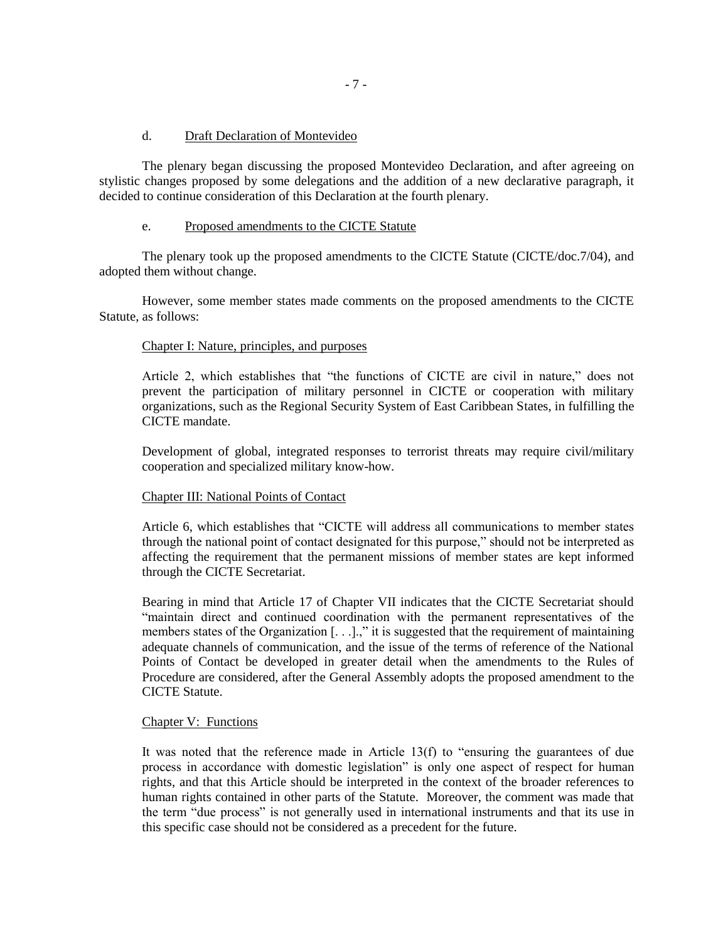#### d. Draft Declaration of Montevideo

The plenary began discussing the proposed Montevideo Declaration, and after agreeing on stylistic changes proposed by some delegations and the addition of a new declarative paragraph, it decided to continue consideration of this Declaration at the fourth plenary.

#### e. Proposed amendments to the CICTE Statute

The plenary took up the proposed amendments to the CICTE Statute (CICTE/doc.7/04), and adopted them without change.

However, some member states made comments on the proposed amendments to the CICTE Statute, as follows:

#### Chapter I: Nature, principles, and purposes

Article 2, which establishes that "the functions of CICTE are civil in nature," does not prevent the participation of military personnel in CICTE or cooperation with military organizations, such as the Regional Security System of East Caribbean States, in fulfilling the CICTE mandate.

Development of global, integrated responses to terrorist threats may require civil/military cooperation and specialized military know-how.

#### Chapter III: National Points of Contact

Article 6, which establishes that "CICTE will address all communications to member states through the national point of contact designated for this purpose," should not be interpreted as affecting the requirement that the permanent missions of member states are kept informed through the CICTE Secretariat.

Bearing in mind that Article 17 of Chapter VII indicates that the CICTE Secretariat should "maintain direct and continued coordination with the permanent representatives of the members states of the Organization [...]," it is suggested that the requirement of maintaining adequate channels of communication, and the issue of the terms of reference of the National Points of Contact be developed in greater detail when the amendments to the Rules of Procedure are considered, after the General Assembly adopts the proposed amendment to the CICTE Statute.

#### Chapter V: Functions

It was noted that the reference made in Article 13(f) to "ensuring the guarantees of due process in accordance with domestic legislation" is only one aspect of respect for human rights, and that this Article should be interpreted in the context of the broader references to human rights contained in other parts of the Statute. Moreover, the comment was made that the term "due process" is not generally used in international instruments and that its use in this specific case should not be considered as a precedent for the future.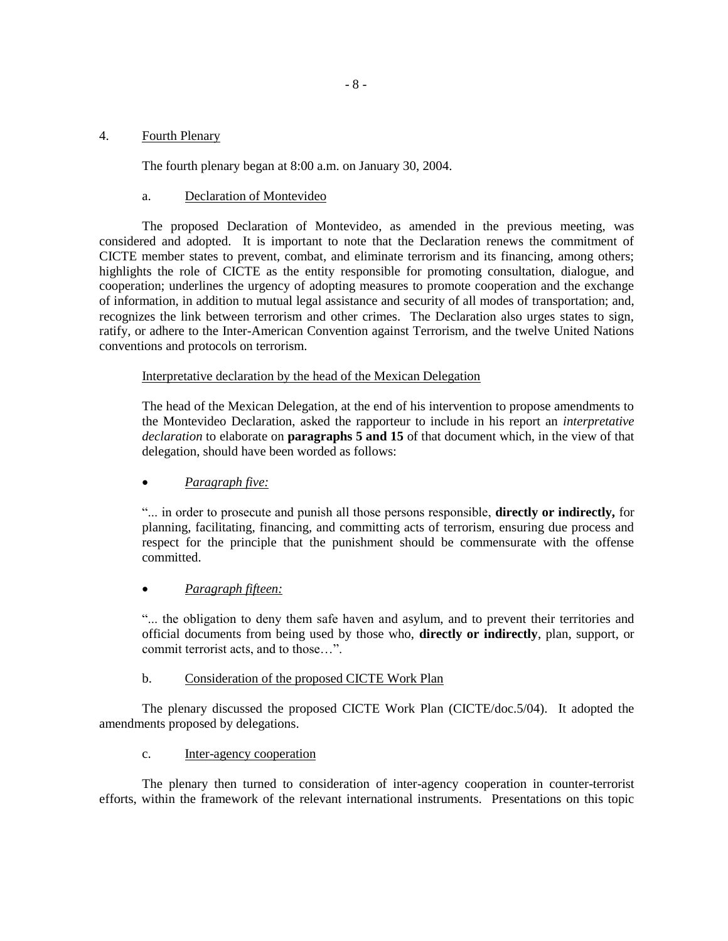## 4. Fourth Plenary

The fourth plenary began at 8:00 a.m. on January 30, 2004.

# a. Declaration of Montevideo

The proposed Declaration of Montevideo, as amended in the previous meeting, was considered and adopted. It is important to note that the Declaration renews the commitment of CICTE member states to prevent, combat, and eliminate terrorism and its financing, among others; highlights the role of CICTE as the entity responsible for promoting consultation, dialogue, and cooperation; underlines the urgency of adopting measures to promote cooperation and the exchange of information, in addition to mutual legal assistance and security of all modes of transportation; and, recognizes the link between terrorism and other crimes. The Declaration also urges states to sign, ratify, or adhere to the Inter-American Convention against Terrorism, and the twelve United Nations conventions and protocols on terrorism.

# Interpretative declaration by the head of the Mexican Delegation

The head of the Mexican Delegation, at the end of his intervention to propose amendments to the Montevideo Declaration, asked the rapporteur to include in his report an *interpretative declaration* to elaborate on **paragraphs 5 and 15** of that document which, in the view of that delegation, should have been worded as follows:

# *Paragraph five:*

"... in order to prosecute and punish all those persons responsible, **directly or indirectly,** for planning, facilitating, financing, and committing acts of terrorism, ensuring due process and respect for the principle that the punishment should be commensurate with the offense committed.

# *Paragraph fifteen:*

"... the obligation to deny them safe haven and asylum, and to prevent their territories and official documents from being used by those who, **directly or indirectly**, plan, support, or commit terrorist acts, and to those…".

# b. Consideration of the proposed CICTE Work Plan

The plenary discussed the proposed CICTE Work Plan (CICTE/doc.5/04). It adopted the amendments proposed by delegations.

## c. Inter-agency cooperation

The plenary then turned to consideration of inter-agency cooperation in counter-terrorist efforts, within the framework of the relevant international instruments. Presentations on this topic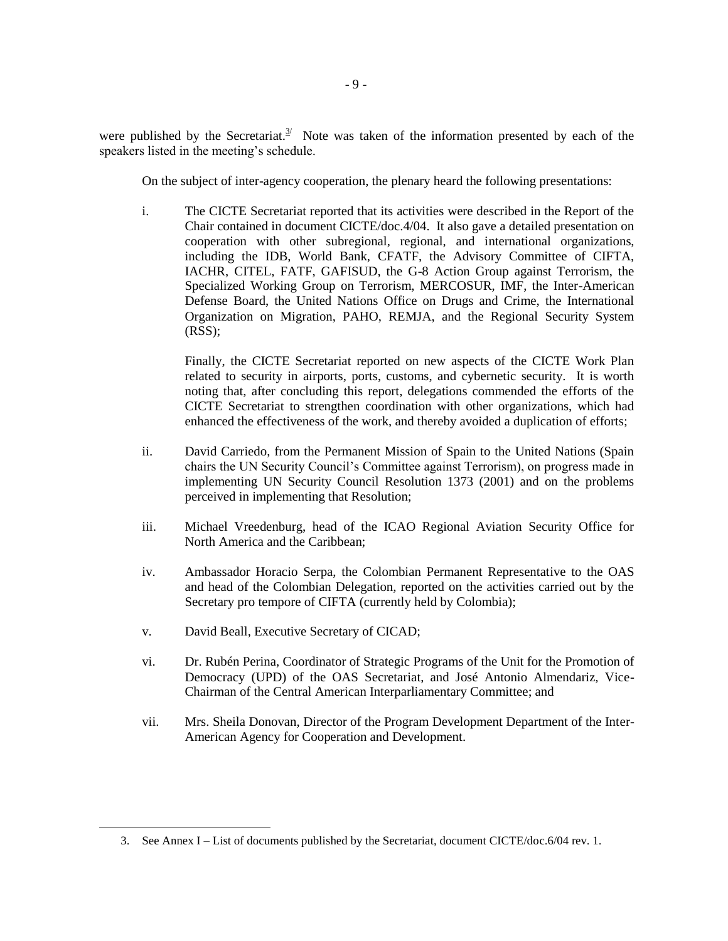were published by the Secretariat.<sup>3/</sup> Note was taken of the information presented by each of the speakers listed in the meeting's schedule.

On the subject of inter-agency cooperation, the plenary heard the following presentations:

i. The CICTE Secretariat reported that its activities were described in the Report of the Chair contained in document CICTE/doc.4/04. It also gave a detailed presentation on cooperation with other subregional, regional, and international organizations, including the IDB, World Bank, CFATF, the Advisory Committee of CIFTA, IACHR, CITEL, FATF, GAFISUD, the G-8 Action Group against Terrorism, the Specialized Working Group on Terrorism, MERCOSUR, IMF, the Inter-American Defense Board, the United Nations Office on Drugs and Crime, the International Organization on Migration, PAHO, REMJA, and the Regional Security System (RSS);

Finally, the CICTE Secretariat reported on new aspects of the CICTE Work Plan related to security in airports, ports, customs, and cybernetic security. It is worth noting that, after concluding this report, delegations commended the efforts of the CICTE Secretariat to strengthen coordination with other organizations, which had enhanced the effectiveness of the work, and thereby avoided a duplication of efforts;

- ii. David Carriedo, from the Permanent Mission of Spain to the United Nations (Spain chairs the UN Security Council's Committee against Terrorism), on progress made in implementing UN Security Council Resolution 1373 (2001) and on the problems perceived in implementing that Resolution;
- iii. Michael Vreedenburg, head of the ICAO Regional Aviation Security Office for North America and the Caribbean;
- iv. Ambassador Horacio Serpa, the Colombian Permanent Representative to the OAS and head of the Colombian Delegation, reported on the activities carried out by the Secretary pro tempore of CIFTA (currently held by Colombia);
- v. David Beall, Executive Secretary of CICAD;

 $\overline{a}$ 

- vi. Dr. Rubén Perina, Coordinator of Strategic Programs of the Unit for the Promotion of Democracy (UPD) of the OAS Secretariat, and José Antonio Almendariz, Vice-Chairman of the Central American Interparliamentary Committee; and
- vii. Mrs. Sheila Donovan, Director of the Program Development Department of the Inter-American Agency for Cooperation and Development.

<sup>3.</sup> See Annex I – List of documents published by the Secretariat, document CICTE/doc.6/04 rev. 1.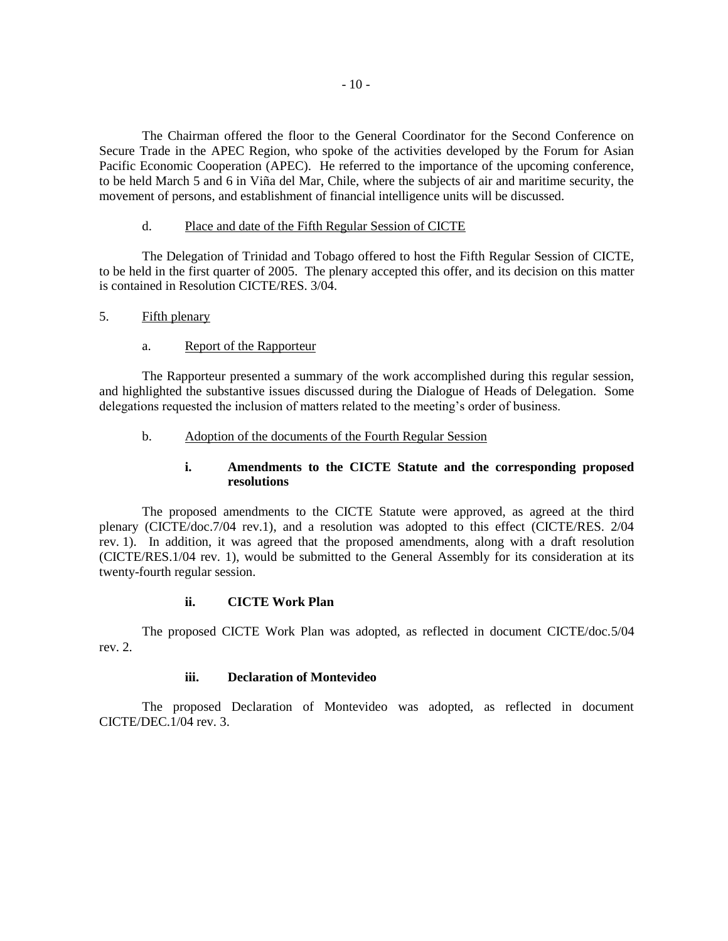The Chairman offered the floor to the General Coordinator for the Second Conference on Secure Trade in the APEC Region, who spoke of the activities developed by the Forum for Asian Pacific Economic Cooperation (APEC). He referred to the importance of the upcoming conference, to be held March 5 and 6 in Viña del Mar, Chile, where the subjects of air and maritime security, the movement of persons, and establishment of financial intelligence units will be discussed.

#### d. Place and date of the Fifth Regular Session of CICTE

The Delegation of Trinidad and Tobago offered to host the Fifth Regular Session of CICTE, to be held in the first quarter of 2005. The plenary accepted this offer, and its decision on this matter is contained in Resolution CICTE/RES. 3/04.

- 5. Fifth plenary
	- a. Report of the Rapporteur

The Rapporteur presented a summary of the work accomplished during this regular session, and highlighted the substantive issues discussed during the Dialogue of Heads of Delegation. Some delegations requested the inclusion of matters related to the meeting's order of business.

# b. Adoption of the documents of the Fourth Regular Session

# **i. Amendments to the CICTE Statute and the corresponding proposed resolutions**

The proposed amendments to the CICTE Statute were approved, as agreed at the third plenary (CICTE/doc.7/04 rev.1), and a resolution was adopted to this effect (CICTE/RES. 2/04 rev. 1). In addition, it was agreed that the proposed amendments, along with a draft resolution (CICTE/RES.1/04 rev. 1), would be submitted to the General Assembly for its consideration at its twenty-fourth regular session.

# **ii. CICTE Work Plan**

The proposed CICTE Work Plan was adopted, as reflected in document CICTE/doc.5/04 rev. 2.

#### **iii. Declaration of Montevideo**

The proposed Declaration of Montevideo was adopted, as reflected in document CICTE/DEC.1/04 rev. 3.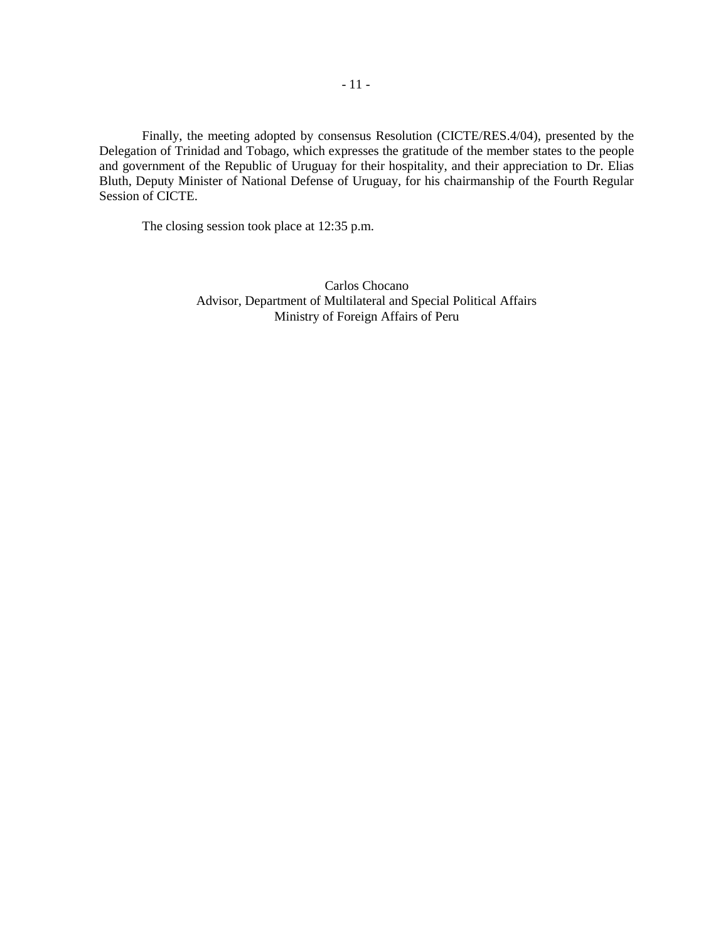Finally, the meeting adopted by consensus Resolution (CICTE/RES.4/04), presented by the Delegation of Trinidad and Tobago, which expresses the gratitude of the member states to the people and government of the Republic of Uruguay for their hospitality, and their appreciation to Dr. Elias Bluth, Deputy Minister of National Defense of Uruguay, for his chairmanship of the Fourth Regular Session of CICTE.

The closing session took place at 12:35 p.m.

Carlos Chocano Advisor, Department of Multilateral and Special Political Affairs Ministry of Foreign Affairs of Peru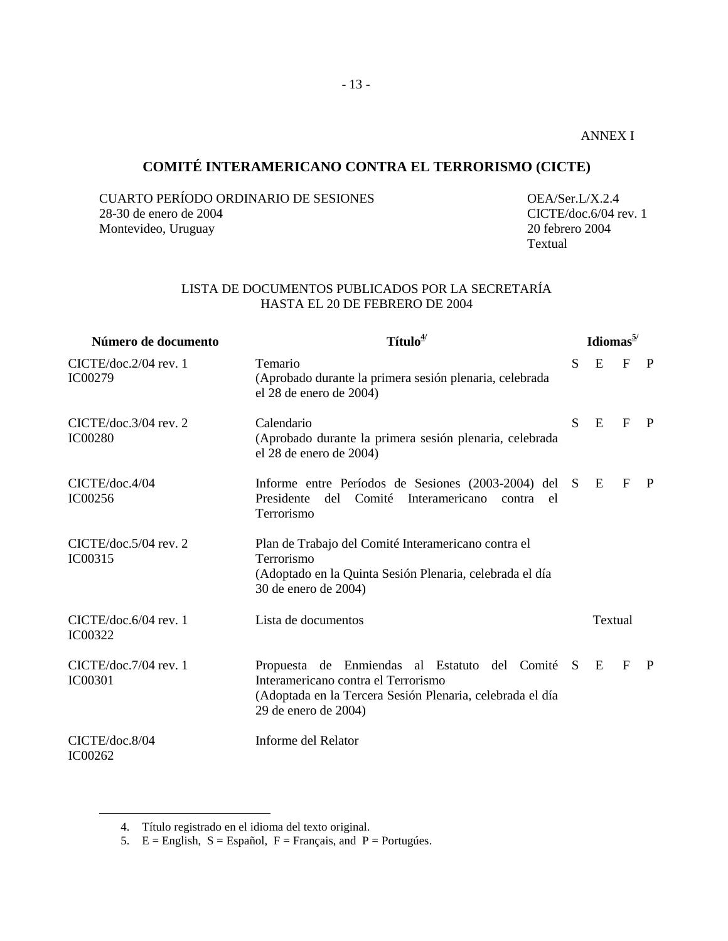#### ANNEX I

# **COMITÉ INTERAMERICANO CONTRA EL TERRORISMO (CICTE)**

CUARTO PERÍODO ORDINARIO DE SESIONES OEA/Ser.L/X.2.4 28-30 de enero de 2004 CICTE/doc.6/04 rev. 1 Montevideo, Uruguay 20 febrero 2004

Textual

# LISTA DE DOCUMENTOS PUBLICADOS POR LA SECRETARÍA HASTA EL 20 DE FEBRERO DE 2004

| Número de documento                       | $T$ ítulo $\frac{4}{3}$                                                                                                                                                     |   | Idiomas <sup>5/</sup> |              |   |
|-------------------------------------------|-----------------------------------------------------------------------------------------------------------------------------------------------------------------------------|---|-----------------------|--------------|---|
| CICTE/doc.2/04 rev. 1<br>IC00279          | Temario<br>(Aprobado durante la primera sesión plenaria, celebrada<br>el 28 de enero de 2004)                                                                               | S | E                     | $\mathbf{F}$ | P |
| $CICTE/doc.3/04$ rev. 2<br><b>IC00280</b> | Calendario<br>(Aprobado durante la primera sesión plenaria, celebrada<br>el 28 de enero de 2004)                                                                            | S | E                     | $\mathbf{F}$ | P |
| CICTE/doc.4/04<br>IC00256                 | Informe entre Períodos de Sesiones (2003-2004) del S<br>Presidente<br>del Comité Interamericano<br>contra el<br>Terrorismo                                                  |   | E                     | $\mathbf{F}$ | P |
| $CICTE/doc.5/04$ rev. 2<br>IC00315        | Plan de Trabajo del Comité Interamericano contra el<br>Terrorismo<br>(Adoptado en la Quinta Sesión Plenaria, celebrada el día<br>30 de enero de 2004)                       |   |                       |              |   |
| $CICTE/doc.6/04$ rev. 1<br><b>IC00322</b> | Lista de documentos                                                                                                                                                         |   | Textual               |              |   |
| CICTE/doc.7/04 rev. 1<br><b>IC00301</b>   | Propuesta de Enmiendas al Estatuto del Comité S<br>Interamericano contra el Terrorismo<br>(Adoptada en la Tercera Sesión Plenaria, celebrada el día<br>29 de enero de 2004) |   | E                     | $\mathbf F$  | P |
| CICTE/doc.8/04<br>IC00262                 | Informe del Relator                                                                                                                                                         |   |                       |              |   |

 $\overline{a}$ 

<sup>4.</sup> Título registrado en el idioma del texto original.

<sup>5.</sup>  $E =$  English,  $S =$  Español,  $F =$  Français, and  $P =$  Portugues.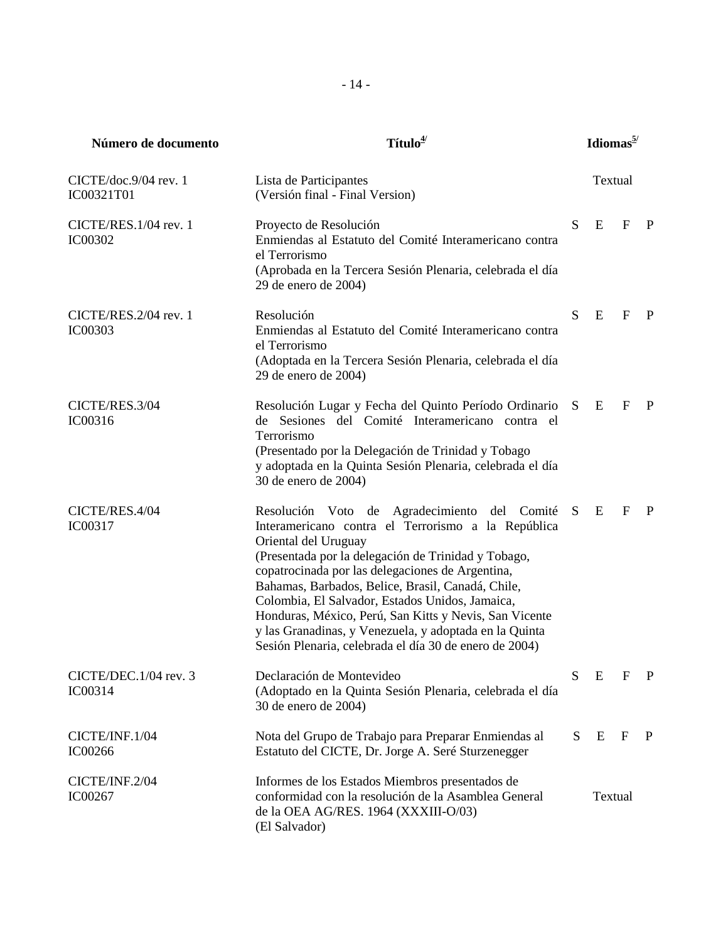| Número de documento                     | $T$ ítulo $\frac{4}{3}$                                                                                                                                                                                                                                                                                                                                                                                                                                                                                                       | Idiomas $\frac{5}{2}$ |         |              |   |
|-----------------------------------------|-------------------------------------------------------------------------------------------------------------------------------------------------------------------------------------------------------------------------------------------------------------------------------------------------------------------------------------------------------------------------------------------------------------------------------------------------------------------------------------------------------------------------------|-----------------------|---------|--------------|---|
| CICTE/doc.9/04 rev. 1<br>IC00321T01     | Lista de Participantes<br>(Versión final - Final Version)                                                                                                                                                                                                                                                                                                                                                                                                                                                                     |                       | Textual |              |   |
| CICTE/RES.1/04 rev. 1<br><b>IC00302</b> | Proyecto de Resolución<br>Enmiendas al Estatuto del Comité Interamericano contra<br>el Terrorismo<br>(Aprobada en la Tercera Sesión Plenaria, celebrada el día<br>29 de enero de 2004)                                                                                                                                                                                                                                                                                                                                        | S                     | E       | $\mathbf{F}$ | P |
| CICTE/RES.2/04 rev. 1<br><b>IC00303</b> | Resolución<br>Enmiendas al Estatuto del Comité Interamericano contra<br>el Terrorismo<br>(Adoptada en la Tercera Sesión Plenaria, celebrada el día<br>29 de enero de 2004)                                                                                                                                                                                                                                                                                                                                                    | S                     | E       | $\mathbf{F}$ | P |
| CICTE/RES.3/04<br>IC00316               | Resolución Lugar y Fecha del Quinto Período Ordinario S<br>de Sesiones del Comité Interamericano contra el<br>Terrorismo<br>(Presentado por la Delegación de Trinidad y Tobago<br>y adoptada en la Quinta Sesión Plenaria, celebrada el día<br>30 de enero de 2004)                                                                                                                                                                                                                                                           |                       | E       | $\mathbf{F}$ | P |
| CICTE/RES.4/04<br>IC00317               | Resolución Voto de Agradecimiento del Comité S<br>Interamericano contra el Terrorismo a la República<br>Oriental del Uruguay<br>(Presentada por la delegación de Trinidad y Tobago,<br>copatrocinada por las delegaciones de Argentina,<br>Bahamas, Barbados, Belice, Brasil, Canadá, Chile,<br>Colombia, El Salvador, Estados Unidos, Jamaica,<br>Honduras, México, Perú, San Kitts y Nevis, San Vicente<br>y las Granadinas, y Venezuela, y adoptada en la Quinta<br>Sesión Plenaria, celebrada el día 30 de enero de 2004) |                       | E       | $\mathbf{F}$ | P |
| CICTE/DEC.1/04 rev. 3<br>IC00314        | Declaración de Montevideo<br>(Adoptado en la Quinta Sesión Plenaria, celebrada el día<br>30 de enero de 2004)                                                                                                                                                                                                                                                                                                                                                                                                                 | S                     | E       | F            | P |
| CICTE/INF.1/04<br>IC00266               | Nota del Grupo de Trabajo para Preparar Enmiendas al<br>Estatuto del CICTE, Dr. Jorge A. Seré Sturzenegger                                                                                                                                                                                                                                                                                                                                                                                                                    | S.                    | E       | F            | P |
| CICTE/INF.2/04<br>IC00267               | Informes de los Estados Miembros presentados de<br>conformidad con la resolución de la Asamblea General<br>de la OEA AG/RES. 1964 (XXXIII-O/03)<br>(El Salvador)                                                                                                                                                                                                                                                                                                                                                              |                       | Textual |              |   |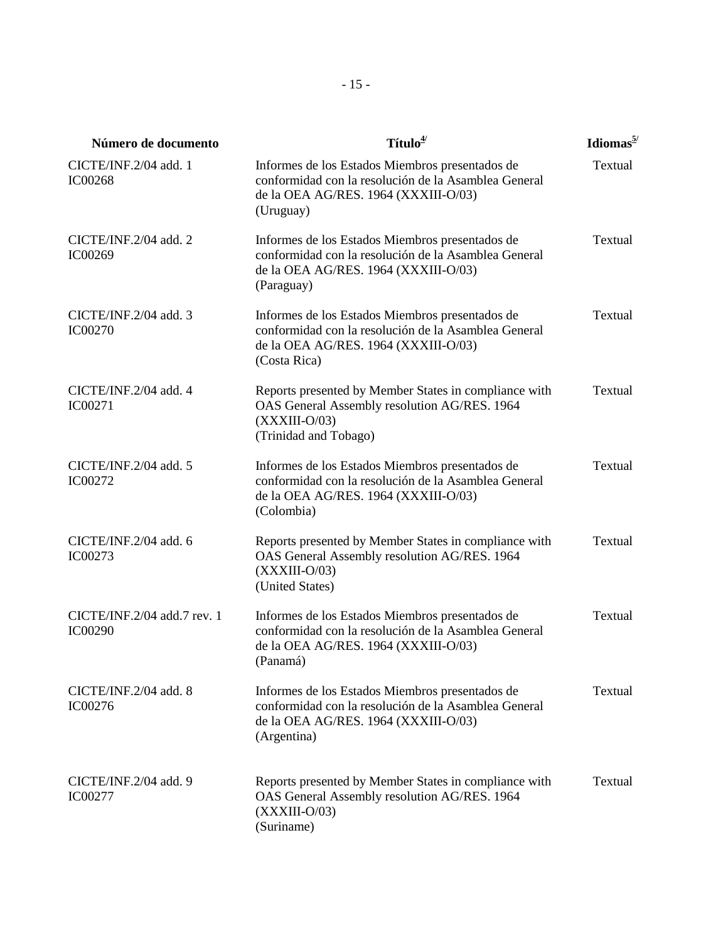| Número de documento                           | $T$ ítulo $\frac{4}{3}$                                                                                                                                         | Idiomas <sup>5/</sup> |
|-----------------------------------------------|-----------------------------------------------------------------------------------------------------------------------------------------------------------------|-----------------------|
| CICTE/INF.2/04 add. 1<br><b>IC00268</b>       | Informes de los Estados Miembros presentados de<br>conformidad con la resolución de la Asamblea General<br>de la OEA AG/RES. 1964 (XXXIII-O/03)<br>(Uruguay)    | Textual               |
| $CICTE/INF.2/04$ add. 2<br>IC00269            | Informes de los Estados Miembros presentados de<br>conformidad con la resolución de la Asamblea General<br>de la OEA AG/RES. 1964 (XXXIII-O/03)<br>(Paraguay)   | Textual               |
| CICTE/INF.2/04 add. 3<br><b>IC00270</b>       | Informes de los Estados Miembros presentados de<br>conformidad con la resolución de la Asamblea General<br>de la OEA AG/RES. 1964 (XXXIII-O/03)<br>(Costa Rica) | Textual               |
| CICTE/INF.2/04 add. 4<br>IC00271              | Reports presented by Member States in compliance with<br>OAS General Assembly resolution AG/RES. 1964<br>$(XXXIII-O/03)$<br>(Trinidad and Tobago)               | Textual               |
| CICTE/INF.2/04 add. 5<br>IC00272              | Informes de los Estados Miembros presentados de<br>conformidad con la resolución de la Asamblea General<br>de la OEA AG/RES. 1964 (XXXIII-O/03)<br>(Colombia)   | Textual               |
| CICTE/INF.2/04 add. 6<br>IC00273              | Reports presented by Member States in compliance with<br>OAS General Assembly resolution AG/RES. 1964<br>$(XXXIII-O/03)$<br>(United States)                     | Textual               |
| CICTE/INF.2/04 add.7 rev. 1<br><b>IC00290</b> | Informes de los Estados Miembros presentados de<br>conformidad con la resolución de la Asamblea General<br>de la OEA AG/RES. 1964 (XXXIII-O/03)<br>(Panamá)     | Textual               |
| CICTE/INF.2/04 add. 8<br>IC00276              | Informes de los Estados Miembros presentados de<br>conformidad con la resolución de la Asamblea General<br>de la OEA AG/RES. 1964 (XXXIII-O/03)<br>(Argentina)  | Textual               |
| CICTE/INF.2/04 add. 9<br><b>IC00277</b>       | Reports presented by Member States in compliance with<br>OAS General Assembly resolution AG/RES. 1964<br>$(XXXIII-O/03)$<br>(Suriname)                          | Textual               |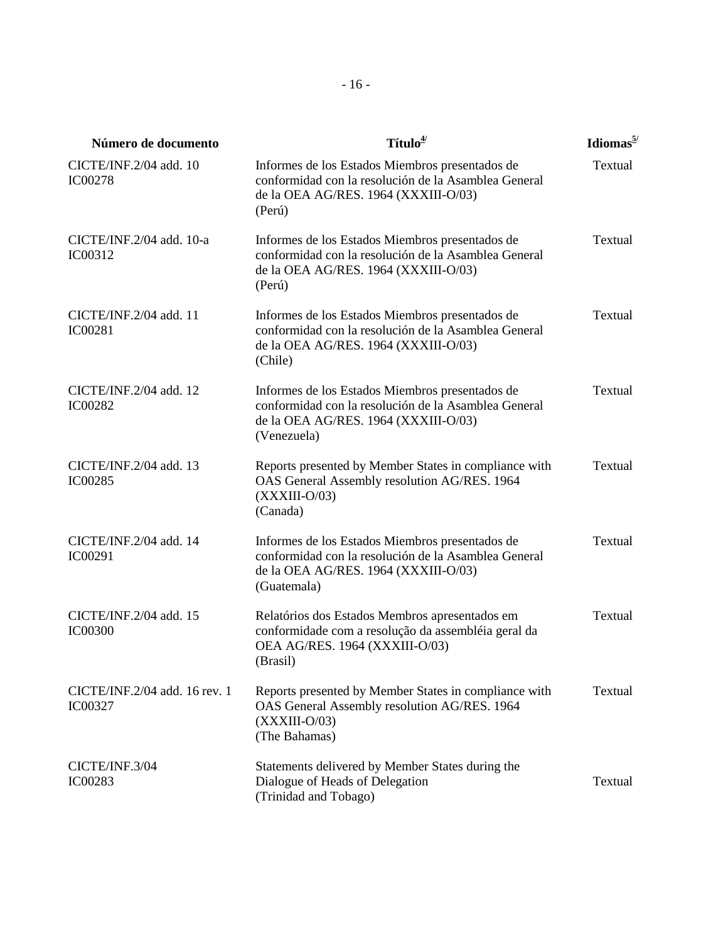| Número de documento                             | $T$ ítulo $\frac{4}{3}$                                                                                                                                        | Idiomas <sup>5/</sup> |
|-------------------------------------------------|----------------------------------------------------------------------------------------------------------------------------------------------------------------|-----------------------|
| CICTE/INF.2/04 add. 10<br><b>IC00278</b>        | Informes de los Estados Miembros presentados de<br>conformidad con la resolución de la Asamblea General<br>de la OEA AG/RES. 1964 (XXXIII-O/03)<br>(Perú)      | Textual               |
| CICTE/INF.2/04 add. 10-a<br>IC00312             | Informes de los Estados Miembros presentados de<br>conformidad con la resolución de la Asamblea General<br>de la OEA AG/RES. 1964 (XXXIII-O/03)<br>(Perú)      | Textual               |
| CICTE/INF.2/04 add. 11<br><b>IC00281</b>        | Informes de los Estados Miembros presentados de<br>conformidad con la resolución de la Asamblea General<br>de la OEA AG/RES. 1964 (XXXIII-O/03)<br>(Chile)     | Textual               |
| CICTE/INF.2/04 add. 12<br><b>IC00282</b>        | Informes de los Estados Miembros presentados de<br>conformidad con la resolución de la Asamblea General<br>de la OEA AG/RES. 1964 (XXXIII-O/03)<br>(Venezuela) | Textual               |
| CICTE/INF.2/04 add. 13<br><b>IC00285</b>        | Reports presented by Member States in compliance with<br>OAS General Assembly resolution AG/RES. 1964<br>$(XXXIII-O/03)$<br>(Canada)                           | Textual               |
| CICTE/INF.2/04 add. 14<br>IC00291               | Informes de los Estados Miembros presentados de<br>conformidad con la resolución de la Asamblea General<br>de la OEA AG/RES. 1964 (XXXIII-O/03)<br>(Guatemala) | Textual               |
| CICTE/INF.2/04 add. 15<br><b>IC00300</b>        | Relatórios dos Estados Membros apresentados em<br>conformidade com a resolução da assembléia geral da<br>OEA AG/RES. 1964 (XXXIII-O/03)<br>(Brasil)            | Textual               |
| CICTE/INF.2/04 add. 16 rev. 1<br><b>IC00327</b> | Reports presented by Member States in compliance with<br>OAS General Assembly resolution AG/RES. 1964<br>$(XXXIII-O/03)$<br>(The Bahamas)                      | Textual               |
| CICTE/INF.3/04<br><b>IC00283</b>                | Statements delivered by Member States during the<br>Dialogue of Heads of Delegation<br>(Trinidad and Tobago)                                                   | Textual               |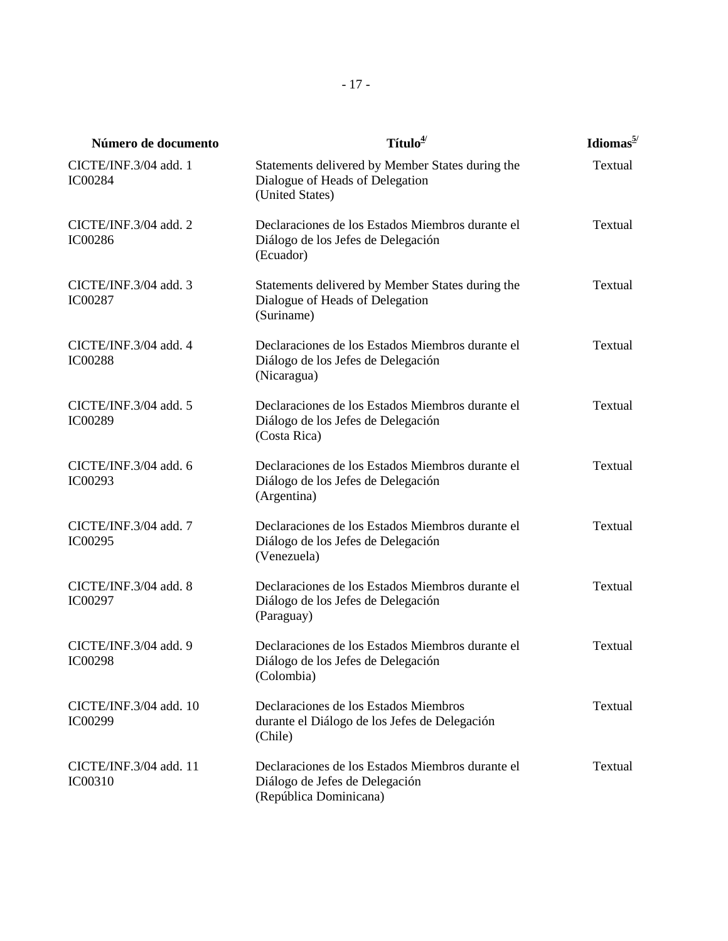| Número de documento                      | $T$ ítulo $\frac{4}{3}$                                                                                      | Idiomas <sup>5/</sup> |
|------------------------------------------|--------------------------------------------------------------------------------------------------------------|-----------------------|
| CICTE/INF.3/04 add. 1<br><b>IC00284</b>  | Statements delivered by Member States during the<br>Dialogue of Heads of Delegation<br>(United States)       | Textual               |
| CICTE/INF.3/04 add. 2<br><b>IC00286</b>  | Declaraciones de los Estados Miembros durante el<br>Diálogo de los Jefes de Delegación<br>(Ecuador)          | Textual               |
| CICTE/INF.3/04 add. 3<br><b>IC00287</b>  | Statements delivered by Member States during the<br>Dialogue of Heads of Delegation<br>(Suriname)            | Textual               |
| CICTE/INF.3/04 add. 4<br><b>IC00288</b>  | Declaraciones de los Estados Miembros durante el<br>Diálogo de los Jefes de Delegación<br>(Nicaragua)        | Textual               |
| CICTE/INF.3/04 add. 5<br><b>IC00289</b>  | Declaraciones de los Estados Miembros durante el<br>Diálogo de los Jefes de Delegación<br>(Costa Rica)       | Textual               |
| CICTE/INF.3/04 add. 6<br>IC00293         | Declaraciones de los Estados Miembros durante el<br>Diálogo de los Jefes de Delegación<br>(Argentina)        | Textual               |
| CICTE/INF.3/04 add. 7<br>IC00295         | Declaraciones de los Estados Miembros durante el<br>Diálogo de los Jefes de Delegación<br>(Venezuela)        | Textual               |
| CICTE/INF.3/04 add. 8<br><b>IC00297</b>  | Declaraciones de los Estados Miembros durante el<br>Diálogo de los Jefes de Delegación<br>(Paraguay)         | Textual               |
| CICTE/INF.3/04 add. 9<br><b>IC00298</b>  | Declaraciones de los Estados Miembros durante el<br>Diálogo de los Jefes de Delegación<br>(Colombia)         | Textual               |
| CICTE/INF.3/04 add. 10<br><b>IC00299</b> | Declaraciones de los Estados Miembros<br>durante el Diálogo de los Jefes de Delegación<br>(Chile)            | Textual               |
| CICTE/INF.3/04 add. 11<br><b>IC00310</b> | Declaraciones de los Estados Miembros durante el<br>Diálogo de Jefes de Delegación<br>(República Dominicana) | Textual               |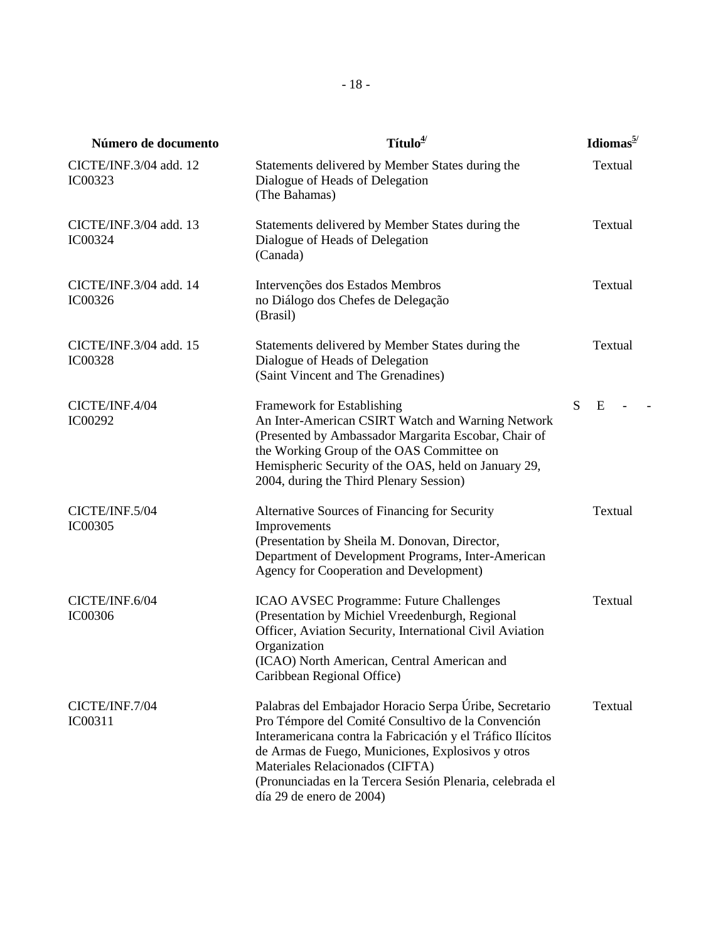| Número de documento                      | $T$ ítulo $\frac{4}{3}$                                                                                                                                                                                                                                                                                                                                     |    |   | Idiomas $5/$             |  |
|------------------------------------------|-------------------------------------------------------------------------------------------------------------------------------------------------------------------------------------------------------------------------------------------------------------------------------------------------------------------------------------------------------------|----|---|--------------------------|--|
| CICTE/INF.3/04 add. 12<br>IC00323        | Statements delivered by Member States during the<br>Dialogue of Heads of Delegation<br>(The Bahamas)                                                                                                                                                                                                                                                        |    |   | Textual                  |  |
| CICTE/INF.3/04 add. 13<br><b>IC00324</b> | Statements delivered by Member States during the<br>Dialogue of Heads of Delegation<br>(Canada)                                                                                                                                                                                                                                                             |    |   | Textual                  |  |
| CICTE/INF.3/04 add. 14<br>IC00326        | Intervenções dos Estados Membros<br>no Diálogo dos Chefes de Delegação<br>(Brasil)                                                                                                                                                                                                                                                                          |    |   | Textual                  |  |
| CICTE/INF.3/04 add. 15<br><b>IC00328</b> | Statements delivered by Member States during the<br>Dialogue of Heads of Delegation<br>(Saint Vincent and The Grenadines)                                                                                                                                                                                                                                   |    |   | Textual                  |  |
| CICTE/INF.4/04<br>IC00292                | Framework for Establishing<br>An Inter-American CSIRT Watch and Warning Network<br>(Presented by Ambassador Margarita Escobar, Chair of<br>the Working Group of the OAS Committee on<br>Hemispheric Security of the OAS, held on January 29,<br>2004, during the Third Plenary Session)                                                                     | S. | E | $\overline{\phantom{a}}$ |  |
| CICTE/INF.5/04<br><b>IC00305</b>         | Alternative Sources of Financing for Security<br>Improvements<br>(Presentation by Sheila M. Donovan, Director,<br>Department of Development Programs, Inter-American<br>Agency for Cooperation and Development)                                                                                                                                             |    |   | Textual                  |  |
| CICTE/INF.6/04<br><b>IC00306</b>         | ICAO AVSEC Programme: Future Challenges<br>(Presentation by Michiel Vreedenburgh, Regional<br>Officer, Aviation Security, International Civil Aviation<br>Organization<br>(ICAO) North American, Central American and<br>Caribbean Regional Office)                                                                                                         |    |   | Textual                  |  |
| CICTE/INF.7/04<br>IC00311                | Palabras del Embajador Horacio Serpa Úribe, Secretario<br>Pro Témpore del Comité Consultivo de la Convención<br>Interamericana contra la Fabricación y el Tráfico Ilícitos<br>de Armas de Fuego, Municiones, Explosivos y otros<br>Materiales Relacionados (CIFTA)<br>(Pronunciadas en la Tercera Sesión Plenaria, celebrada el<br>día 29 de enero de 2004) |    |   | Textual                  |  |